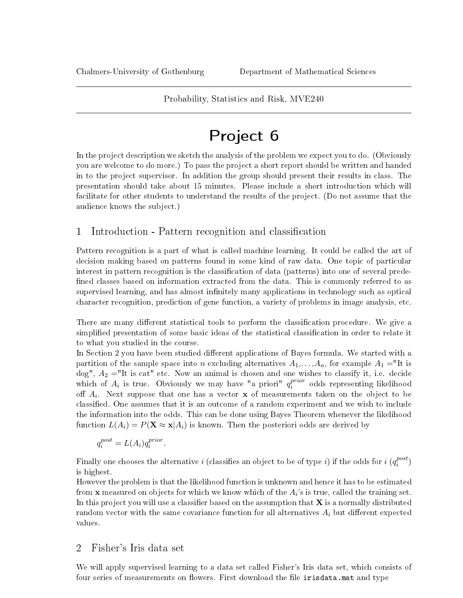#### Probability, Statistics and Risk, MVE240

# Project 6

In the project description we sketch the analysis of the problem we expect you to do. (Obviously you are welcome to do more.) To pass the project a short report should be written and handed in to the project supervisor. In addition the group should present their results in class. The presentation should take about 15 minutes. Please include a short introduction which will facilitate for other students to understand the results of the project. (Do not assume that the audience knows the subject.)

# 1 Introduction - Pattern recognition and classification

Pattern recognition is a part of what is called machine learning. It could be called the art of decision making based on patterns found in some kind of raw data. One topic of particular interest in pattern recognition is the classification of data (patterns) into one of several predefined classes based on information extracted from the data. This is commonly referred to as supervised learning, and has almost infinitely many applications in technology such as optical character recognition, prediction of gene function, a variety of problems in image analysis, etc.

There are many different statistical tools to perform the classification procedure. We give a simplified presentation of some basic ideas of the statistical classification in order to relate it to what you studied in the course.

In Section 2 you have been studied different applications of Bayes formula. We started with a partition of the sample space into n excluding alternatives  $A_1, \ldots, A_n$ , for example  $A_1 =$ "It is dog",  $A_2 =$ "It is cat" etc. Now an animal is chosen and one wishes to classify it, i.e. decide which of  $A_i$  is true. Obviously we may have "a priori"  $q_i^{prior}$  $i^{prior}$  odds representing likelihood off  $A_i$ . Next suppose that one has a vector  ${\bf x}$  of measurements taken on the object to be classified. One assumes that it is an outcome of a random experiment and we wish to include the information into the odds. This can be done using Bayes Theorem whenever the likelihood function  $L(A_i) = P(\mathbf{X} \approx \mathbf{x}|A_i)$  is known. Then the posteriori odds are derived by

$$
q_i^{post} = L(A_i)q_i^{prior}.
$$

Finally one chooses the alternative  $i$  (classifies an object to be of type  $i)$  if the odds for  $i$  ( $q_i^{post}$  $_i^{post}$ is highest.

However the problem is that the likelihood function is unknown and hence it has to be estimated from  ${\bf x}$  measured on objects for which we know which of the  $A_i's is true, called the training set.$ In this project you will use a classifier based on the assumption that  $X$  is a normally distributed random vector with the same covariance function for all alternatives  $A_i$  but different expected values.

## 2 Fisher's Iris data set

We will apply supervised learning to a data set called Fisher's Iris data set, which consists of four series of measurements on flowers. First download the file irisdata.mat and type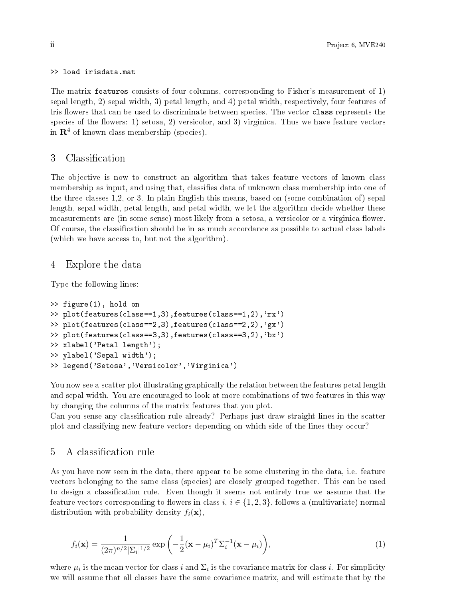>> load irisdata.mat

The matrix features consists of four columns, corresponding to Fisher's measurement of 1) sepal length, 2) sepal width, 3) petal length, and 4) petal width, respectively, four features of Iris flowers that can be used to discriminate between species. The vector class represents the species of the flowers: 1) setosa, 2) versicolor, and 3) virginica. Thus we have feature vectors in  $\mathbb{R}^4$  of known class membership (species).

#### 3 Classification

The objective is now to construct an algorithm that takes feature vectors of known class membership as input, and using that, classifies data of unknown class membership into one of the three classes 1,2, or 3. In plain English this means, based on (some combination of) sepal length, sepal width, petal length, and petal width, we let the algorithm decide whether these measurements are (in some sense) most likely from a setosa, a versicolor or a virginica flower. Of course, the classification should be in as much accordance as possible to actual class labels (which we have access to, but not the algorithm).

#### 4 Explore the data

Type the following lines:

```
>> figure(1), hold on
>> plot(features(class==1,3),features(class==1,2),'rx')
>> plot(features(class==2,3),features(class==2,2),'gx')
>> plot(features(class==3,3),features(class==3,2),'bx')
>> xlabel('Petal length');
>> ylabel('Sepal width');
>> legend('Setosa','Versicolor','Virginica')
```
You now see a scatter plot illustrating graphically the relation between the features petal length and sepal width. You are encouraged to look at more combinations of two features in this way by changing the columns of the matrix features that you plot.

Can you sense any classification rule already? Perhaps just draw straight lines in the scatter plot and classifying new feature vectors depending on which side of the lines they occur?

## 5 A classification rule

As you have now seen in the data, there appear to be some clustering in the data, i.e. feature vectors belonging to the same class (species) are closely grouped together. This can be used to design a classification rule. Even though it seems not entirely true we assume that the feature vectors corresponding to flowers in class  $i, i \in \{1, 2, 3\}$ , follows a (multivariate) normal distribution with probability density  $f_i(\mathbf{x})$ ,

$$
f_i(\mathbf{x}) = \frac{1}{(2\pi)^{n/2} |\Sigma_i|^{1/2}} \exp\left(-\frac{1}{2}(\mathbf{x} - \mu_i)^T \Sigma_i^{-1}(\mathbf{x} - \mu_i)\right),\tag{1}
$$

where  $\mu_i$  is the mean vector for class i and  $\Sigma_i$  is the covariance matrix for class i. For simplicity we will assume that all classes have the same covariance matrix, and will estimate that by the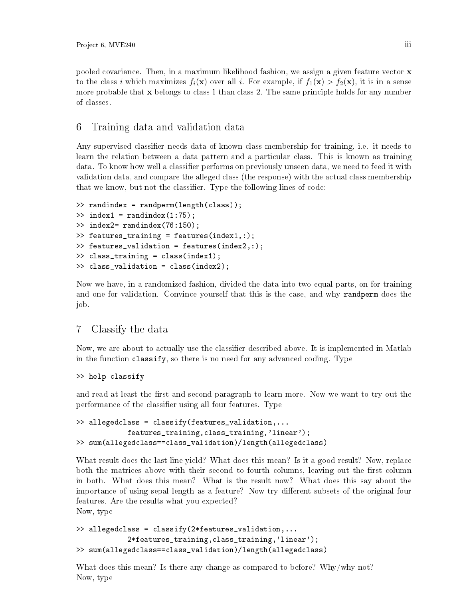pooled covariance. Then, in a maximum likelihood fashion, we assign a given feature vector  $\mathbf x$ to the class i which maximizes  $f_i(\mathbf{x})$  over all i. For example, if  $f_1(\mathbf{x}) > f_2(\mathbf{x})$ , it is in a sense more probable that  $x$  belongs to class 1 than class 2. The same principle holds for any number of classes.

# 6 Training data and validation data

Any supervised classifier needs data of known class membership for training, i.e. it needs to learn the relation between a data pattern and a particular class. This is known as training data. To know how well a classifier performs on previously unseen data, we need to feed it with validation data, and compare the alleged class (the response) with the actual class membership that we know, but not the classifier. Type the following lines of code:

```
>> randindex = randperm(length(class));
\Rightarrow index1 = randindex(1:75);
>> index2= randindex(76:150);
>> features_training = features(index1,:);
>> features_validation = features(index2,:);
>> class_training = class(index1);
>> class_validation = class(index2);
```
Now we have, in a randomized fashion, divided the data into two equal parts, on for training and one for validation. Convince yourself that this is the case, and why randperm does the job.

## 7 Classify the data

Now, we are about to actually use the classifier described above. It is implemented in Matlab in the function classify, so there is no need for any advanced coding. Type

```
>> help classify
```
and read at least the first and second paragraph to learn more. Now we want to try out the performance of the classifier using all four features. Type

```
>> allegedclass = classify(features_validation,...
            features_training,class_training,'linear');
>> sum(allegedclass==class_validation)/length(allegedclass)
```
What result does the last line yield? What does this mean? Is it a good result? Now, replace both the matrices above with their second to fourth columns, leaving out the first column in both. What does this mean? What is the result now? What does this say about the importance of using sepal length as a feature? Now try different subsets of the original four features. Are the results what you expected? Now, type

```
>> allegedclass = classify(2*features_validation,...
            2*features_training,class_training,'linear');
>> sum(allegedclass==class_validation)/length(allegedclass)
```
What does this mean? Is there any change as compared to before? Why/why not? Now, type